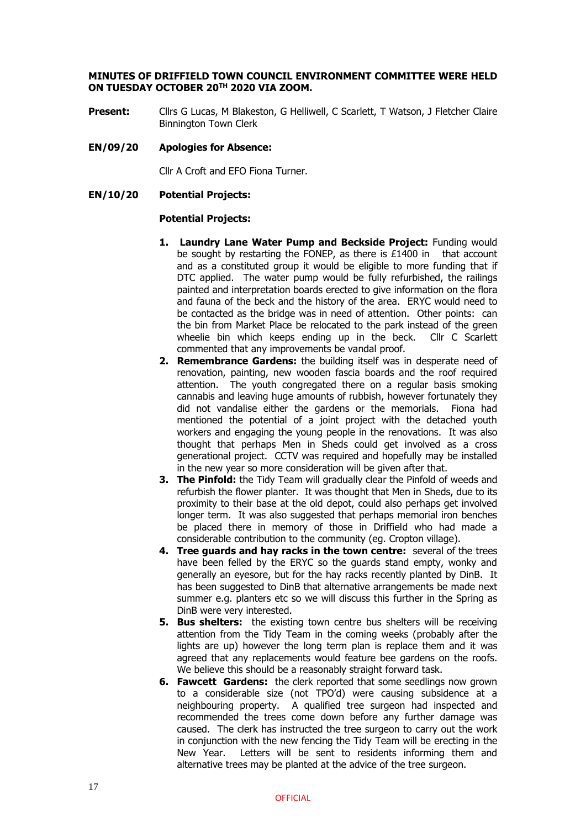# **MINUTES OF DRIFFIELD TOWN COUNCIL ENVIRONMENT COMMITTEE WERE HELD ON TUESDAY OCTOBER 20TH 2020 VIA ZOOM.**

Present: Cllrs G Lucas, M Blakeston, G Helliwell, C Scarlett, T Watson, J Fletcher Claire Binnington Town Clerk

# **EN/09/20 Apologies for Absence:**

Cllr A Croft and EFO Fiona Turner.

# **EN/10/20 Potential Projects:**

# **Potential Projects:**

- **1. Laundry Lane Water Pump and Beckside Project:** Funding would be sought by restarting the FONEP, as there is  $£1400$  in that account and as a constituted group it would be eligible to more funding that if DTC applied. The water pump would be fully refurbished, the railings painted and interpretation boards erected to give information on the flora and fauna of the beck and the history of the area. ERYC would need to be contacted as the bridge was in need of attention. Other points: can the bin from Market Place be relocated to the park instead of the green wheelie bin which keeps ending up in the beck. Cllr C Scarlett commented that any improvements be vandal proof.
- **2. Remembrance Gardens:** the building itself was in desperate need of renovation, painting, new wooden fascia boards and the roof required attention. The youth congregated there on a regular basis smoking cannabis and leaving huge amounts of rubbish, however fortunately they did not vandalise either the gardens or the memorials. Fiona had mentioned the potential of a joint project with the detached youth workers and engaging the young people in the renovations. It was also thought that perhaps Men in Sheds could get involved as a cross generational project. CCTV was required and hopefully may be installed in the new year so more consideration will be given after that.
- **3. The Pinfold:** the Tidy Team will gradually clear the Pinfold of weeds and refurbish the flower planter. It was thought that Men in Sheds, due to its proximity to their base at the old depot, could also perhaps get involved longer term. It was also suggested that perhaps memorial iron benches be placed there in memory of those in Driffield who had made a considerable contribution to the community (eg. Cropton village).
- **4. Tree guards and hay racks in the town centre:** several of the trees have been felled by the ERYC so the guards stand empty, wonky and generally an eyesore, but for the hay racks recently planted by DinB. It has been suggested to DinB that alternative arrangements be made next summer e.g. planters etc so we will discuss this further in the Spring as DinB were very interested.
- **5. Bus shelters:** the existing town centre bus shelters will be receiving attention from the Tidy Team in the coming weeks (probably after the lights are up) however the long term plan is replace them and it was agreed that any replacements would feature bee gardens on the roofs. We believe this should be a reasonably straight forward task.
- **6. Fawcett Gardens:** the clerk reported that some seedlings now grown to a considerable size (not TPO'd) were causing subsidence at a neighbouring property. A qualified tree surgeon had inspected and recommended the trees come down before any further damage was caused. The clerk has instructed the tree surgeon to carry out the work in conjunction with the new fencing the Tidy Team will be erecting in the New Year. Letters will be sent to residents informing them and alternative trees may be planted at the advice of the tree surgeon.